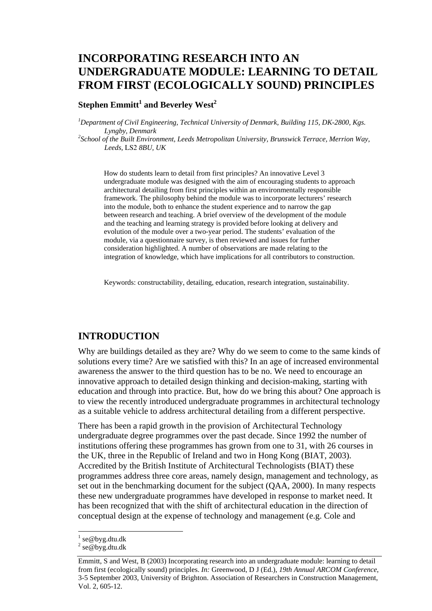# **INCORPORATING RESEARCH INTO AN UNDERGRADUATE MODULE: LEARNING TO DETAIL FROM FIRST (ECOLOGICALLY SOUND) PRINCIPLES**

### ${\bf Step}$ hen  ${\bf Emmitt}^1$  and  ${\bf Beverley\ West}^2$

<sup>1</sup>Department of Civil Engineering, Technical University of Denmark, Building 115, DK-2800, Kgs. *Lyngby, Denmark 2 School of the Built Environment, Leeds Metropolitan University, Brunswick Terrace, Merrion Way,* 

*Leeds,* LS2 *8BU, UK* 

How do students learn to detail from first principles? An innovative Level 3 undergraduate module was designed with the aim of encouraging students to approach architectural detailing from first principles within an environmentally responsible framework. The philosophy behind the module was to incorporate lecturers' research into the module, both to enhance the student experience and to narrow the gap between research and teaching. A brief overview of the development of the module and the teaching and learning strategy is provided before looking at delivery and evolution of the module over a two-year period. The students' evaluation of the module, via a questionnaire survey, is then reviewed and issues for further consideration highlighted. A number of observations are made relating to the integration of knowledge, which have implications for all contributors to construction.

Keywords: constructability, detailing, education, research integration, sustainability.

#### **INTRODUCTION**

Why are buildings detailed as they are? Why do we seem to come to the same kinds of solutions every time? Are we satisfied with this? In an age of increased environmental awareness the answer to the third question has to be no. We need to encourage an innovative approach to detailed design thinking and decision-making, starting with education and through into practice. But, how do we bring this about? One approach is to view the recently introduced undergraduate programmes in architectural technology as a suitable vehicle to address architectural detailing from a different perspective.

There has been a rapid growth in the provision of Architectural Technology undergraduate degree programmes over the past decade. Since 1992 the number of institutions offering these programmes has grown from one to 31, with 26 courses in the UK, three in the Republic of Ireland and two in Hong Kong (BIAT, 2003). Accredited by the British Institute of Architectural Technologists (BIAT) these programmes address three core areas, namely design, management and technology, as set out in the benchmarking document for the subject (QAA, 2000). In many respects these new undergraduate programmes have developed in response to market need. It has been recognized that with the shift of architectural education in the direction of conceptual design at the expense of technology and management (e.g. Cole and

l

<sup>1</sup> se@byg.dtu.dk

 $2$  se@byg.dtu.dk

Emmitt, S and West, B (2003) Incorporating research into an undergraduate module: learning to detail from first (ecologically sound) principles. *In:* Greenwood, D J (Ed.), *19th Annual ARCOM Conference*, 3-5 September 2003, University of Brighton. Association of Researchers in Construction Management, Vol. 2, 605-12.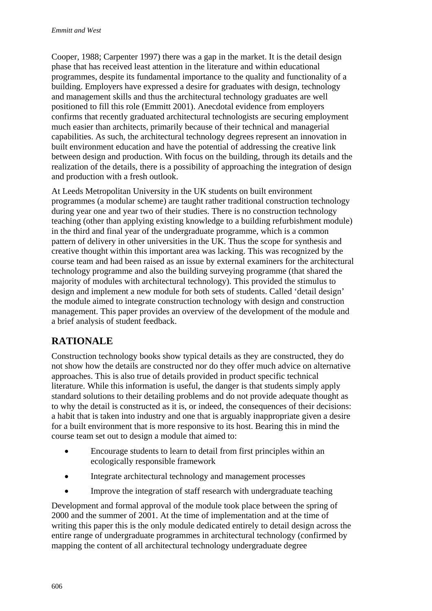Cooper, 1988; Carpenter 1997) there was a gap in the market. It is the detail design phase that has received least attention in the literature and within educational programmes, despite its fundamental importance to the quality and functionality of a building. Employers have expressed a desire for graduates with design, technology and management skills and thus the architectural technology graduates are well positioned to fill this role (Emmitt 2001). Anecdotal evidence from employers confirms that recently graduated architectural technologists are securing employment much easier than architects, primarily because of their technical and managerial capabilities. As such, the architectural technology degrees represent an innovation in built environment education and have the potential of addressing the creative link between design and production. With focus on the building, through its details and the realization of the details, there is a possibility of approaching the integration of design and production with a fresh outlook.

At Leeds Metropolitan University in the UK students on built environment programmes (a modular scheme) are taught rather traditional construction technology during year one and year two of their studies. There is no construction technology teaching (other than applying existing knowledge to a building refurbishment module) in the third and final year of the undergraduate programme, which is a common pattern of delivery in other universities in the UK. Thus the scope for synthesis and creative thought within this important area was lacking. This was recognized by the course team and had been raised as an issue by external examiners for the architectural technology programme and also the building surveying programme (that shared the majority of modules with architectural technology). This provided the stimulus to design and implement a new module for both sets of students. Called 'detail design' the module aimed to integrate construction technology with design and construction management. This paper provides an overview of the development of the module and a brief analysis of student feedback.

## **RATIONALE**

Construction technology books show typical details as they are constructed, they do not show how the details are constructed nor do they offer much advice on alternative approaches. This is also true of details provided in product specific technical literature. While this information is useful, the danger is that students simply apply standard solutions to their detailing problems and do not provide adequate thought as to why the detail is constructed as it is, or indeed, the consequences of their decisions: a habit that is taken into industry and one that is arguably inappropriate given a desire for a built environment that is more responsive to its host. Bearing this in mind the course team set out to design a module that aimed to:

- Encourage students to learn to detail from first principles within an ecologically responsible framework
- Integrate architectural technology and management processes
- Improve the integration of staff research with undergraduate teaching

Development and formal approval of the module took place between the spring of 2000 and the summer of 2001. At the time of implementation and at the time of writing this paper this is the only module dedicated entirely to detail design across the entire range of undergraduate programmes in architectural technology (confirmed by mapping the content of all architectural technology undergraduate degree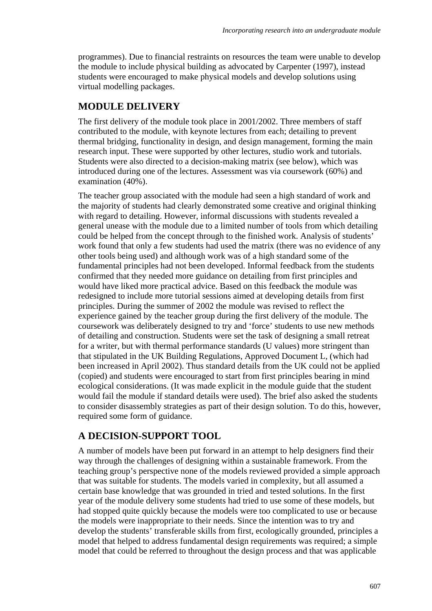programmes). Due to financial restraints on resources the team were unable to develop the module to include physical building as advocated by Carpenter (1997), instead students were encouraged to make physical models and develop solutions using virtual modelling packages.

## **MODULE DELIVERY**

The first delivery of the module took place in 2001/2002. Three members of staff contributed to the module, with keynote lectures from each; detailing to prevent thermal bridging, functionality in design, and design management, forming the main research input. These were supported by other lectures, studio work and tutorials. Students were also directed to a decision-making matrix (see below), which was introduced during one of the lectures. Assessment was via coursework (60%) and examination (40%).

The teacher group associated with the module had seen a high standard of work and the majority of students had clearly demonstrated some creative and original thinking with regard to detailing. However, informal discussions with students revealed a general unease with the module due to a limited number of tools from which detailing could be helped from the concept through to the finished work. Analysis of students' work found that only a few students had used the matrix (there was no evidence of any other tools being used) and although work was of a high standard some of the fundamental principles had not been developed. Informal feedback from the students confirmed that they needed more guidance on detailing from first principles and would have liked more practical advice. Based on this feedback the module was redesigned to include more tutorial sessions aimed at developing details from first principles. During the summer of 2002 the module was revised to reflect the experience gained by the teacher group during the first delivery of the module. The coursework was deliberately designed to try and 'force' students to use new methods of detailing and construction. Students were set the task of designing a small retreat for a writer, but with thermal performance standards (U values) more stringent than that stipulated in the UK Building Regulations, Approved Document L, (which had been increased in April 2002). Thus standard details from the UK could not be applied (copied) and students were encouraged to start from first principles bearing in mind ecological considerations. (It was made explicit in the module guide that the student would fail the module if standard details were used). The brief also asked the students to consider disassembly strategies as part of their design solution. To do this, however, required some form of guidance.

### **A DECISION-SUPPORT TOOL**

A number of models have been put forward in an attempt to help designers find their way through the challenges of designing within a sustainable framework. From the teaching group's perspective none of the models reviewed provided a simple approach that was suitable for students. The models varied in complexity, but all assumed a certain base knowledge that was grounded in tried and tested solutions. In the first year of the module delivery some students had tried to use some of these models, but had stopped quite quickly because the models were too complicated to use or because the models were inappropriate to their needs. Since the intention was to try and develop the students' transferable skills from first, ecologically grounded, principles a model that helped to address fundamental design requirements was required; a simple model that could be referred to throughout the design process and that was applicable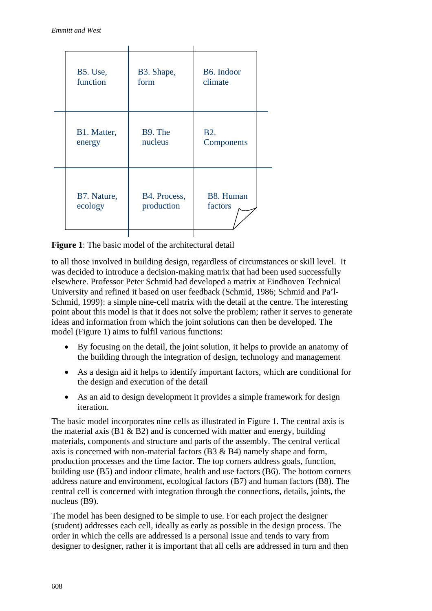| <b>B5.</b> Use, | B3. Shape,   | B6. Indoor |
|-----------------|--------------|------------|
| function        | form         | climate    |
| B1. Matter,     | B9. The      | <b>B2.</b> |
| energy          | nucleus      | Components |
| B7. Nature,     | B4. Process, | B8. Human  |
| ecology         | production   | factors    |
|                 |              |            |

**Figure 1:** The basic model of the architectural detail

to all those involved in building design, regardless of circumstances or skill level. It was decided to introduce a decision-making matrix that had been used successfully elsewhere. Professor Peter Schmid had developed a matrix at Eindhoven Technical University and refined it based on user feedback (Schmid, 1986; Schmid and Pa'l-Schmid, 1999): a simple nine-cell matrix with the detail at the centre. The interesting point about this model is that it does not solve the problem; rather it serves to generate ideas and information from which the joint solutions can then be developed. The model (Figure 1) aims to fulfil various functions:

- By focusing on the detail, the joint solution, it helps to provide an anatomy of the building through the integration of design, technology and management
- As a design aid it helps to identify important factors, which are conditional for the design and execution of the detail
- As an aid to design development it provides a simple framework for design iteration.

The basic model incorporates nine cells as illustrated in Figure 1. The central axis is the material axis ( $B1 \& B2$ ) and is concerned with matter and energy, building materials, components and structure and parts of the assembly. The central vertical axis is concerned with non-material factors  $(B3 \& B4)$  namely shape and form, production processes and the time factor. The top corners address goals, function, building use (B5) and indoor climate, health and use factors (B6). The bottom corners address nature and environment, ecological factors (B7) and human factors (B8). The central cell is concerned with integration through the connections, details, joints, the nucleus (B9).

The model has been designed to be simple to use. For each project the designer (student) addresses each cell, ideally as early as possible in the design process. The order in which the cells are addressed is a personal issue and tends to vary from designer to designer, rather it is important that all cells are addressed in turn and then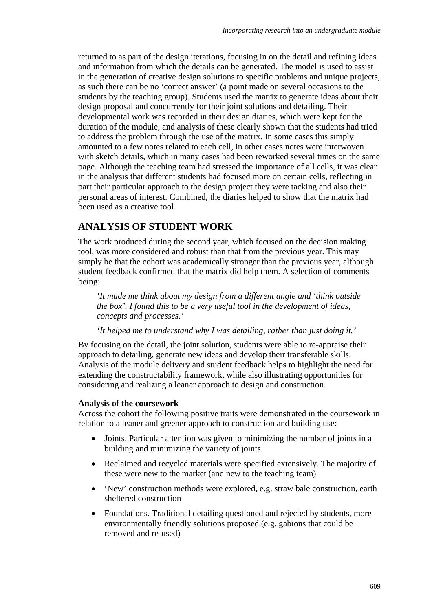returned to as part of the design iterations, focusing in on the detail and refining ideas and information from which the details can be generated. The model is used to assist in the generation of creative design solutions to specific problems and unique projects, as such there can be no 'correct answer' (a point made on several occasions to the students by the teaching group). Students used the matrix to generate ideas about their design proposal and concurrently for their joint solutions and detailing. Their developmental work was recorded in their design diaries, which were kept for the duration of the module, and analysis of these clearly shown that the students had tried to address the problem through the use of the matrix. In some cases this simply amounted to a few notes related to each cell, in other cases notes were interwoven with sketch details, which in many cases had been reworked several times on the same page. Although the teaching team had stressed the importance of all cells, it was clear in the analysis that different students had focused more on certain cells, reflecting in part their particular approach to the design project they were tacking and also their personal areas of interest. Combined, the diaries helped to show that the matrix had been used as a creative tool.

## **ANALYSIS OF STUDENT WORK**

The work produced during the second year, which focused on the decision making tool, was more considered and robust than that from the previous year. This may simply be that the cohort was academically stronger than the previous year, although student feedback confirmed that the matrix did help them. A selection of comments being:

*'It made me think about my design from a different angle and 'think outside the box'. I found this to be a very useful tool in the development of ideas, concepts and processes.'* 

*'It helped me to understand why I was detailing, rather than just doing it.'* 

By focusing on the detail, the joint solution, students were able to re-appraise their approach to detailing, generate new ideas and develop their transferable skills. Analysis of the module delivery and student feedback helps to highlight the need for extending the constructability framework, while also illustrating opportunities for considering and realizing a leaner approach to design and construction.

#### **Analysis of the coursework**

Across the cohort the following positive traits were demonstrated in the coursework in relation to a leaner and greener approach to construction and building use:

- Joints. Particular attention was given to minimizing the number of joints in a building and minimizing the variety of joints.
- Reclaimed and recycled materials were specified extensively. The majority of these were new to the market (and new to the teaching team)
- 'New' construction methods were explored, e.g. straw bale construction, earth sheltered construction
- Foundations. Traditional detailing questioned and rejected by students, more environmentally friendly solutions proposed (e.g. gabions that could be removed and re-used)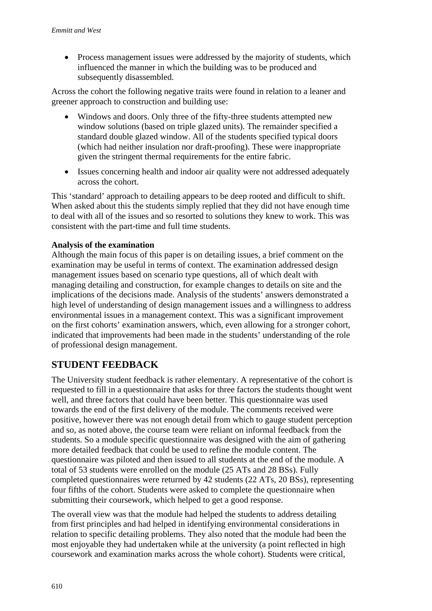• Process management issues were addressed by the majority of students, which influenced the manner in which the building was to be produced and subsequently disassembled.

Across the cohort the following negative traits were found in relation to a leaner and greener approach to construction and building use:

- Windows and doors. Only three of the fifty-three students attempted new window solutions (based on triple glazed units). The remainder specified a standard double glazed window. All of the students specified typical doors (which had neither insulation nor draft-proofing). These were inappropriate given the stringent thermal requirements for the entire fabric.
- Issues concerning health and indoor air quality were not addressed adequately across the cohort.

This 'standard' approach to detailing appears to be deep rooted and difficult to shift. When asked about this the students simply replied that they did not have enough time to deal with all of the issues and so resorted to solutions they knew to work. This was consistent with the part-time and full time students.

### **Analysis of the examination**

Although the main focus of this paper is on detailing issues, a brief comment on the examination may be useful in terms of context. The examination addressed design management issues based on scenario type questions, all of which dealt with managing detailing and construction, for example changes to details on site and the implications of the decisions made. Analysis of the students' answers demonstrated a high level of understanding of design management issues and a willingness to address environmental issues in a management context. This was a significant improvement on the first cohorts' examination answers, which, even allowing for a stronger cohort, indicated that improvements had been made in the students' understanding of the role of professional design management.

## **STUDENT FEEDBACK**

The University student feedback is rather elementary. A representative of the cohort is requested to fill in a questionnaire that asks for three factors the students thought went well, and three factors that could have been better. This questionnaire was used towards the end of the first delivery of the module. The comments received were positive, however there was not enough detail from which to gauge student perception and so, as noted above, the course team were reliant on informal feedback from the students. So a module specific questionnaire was designed with the aim of gathering more detailed feedback that could be used to refine the module content. The questionnaire was piloted and then issued to all students at the end of the module. A total of 53 students were enrolled on the module (25 ATs and 28 BSs). Fully completed questionnaires were returned by 42 students (22 ATs, 20 BSs), representing four fifths of the cohort. Students were asked to complete the questionnaire when submitting their coursework, which helped to get a good response.

The overall view was that the module had helped the students to address detailing from first principles and had helped in identifying environmental considerations in relation to specific detailing problems. They also noted that the module had been the most enjoyable they had undertaken while at the university (a point reflected in high coursework and examination marks across the whole cohort). Students were critical,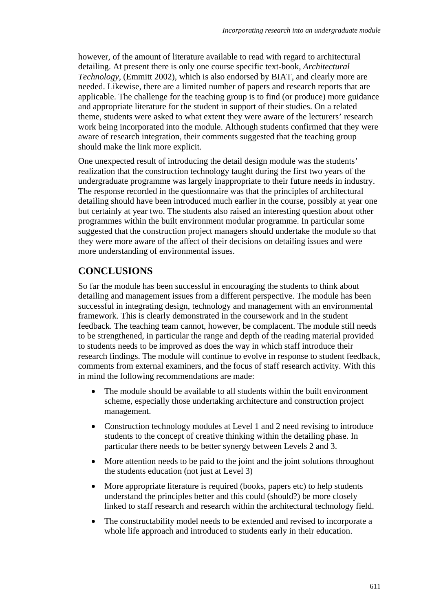however, of the amount of literature available to read with regard to architectural detailing. At present there is only one course specific text-book, *Architectural Technology*, (Emmitt 2002), which is also endorsed by BIAT, and clearly more are needed. Likewise, there are a limited number of papers and research reports that are applicable. The challenge for the teaching group is to find (or produce) more guidance and appropriate literature for the student in support of their studies. On a related theme, students were asked to what extent they were aware of the lecturers' research work being incorporated into the module. Although students confirmed that they were aware of research integration, their comments suggested that the teaching group should make the link more explicit.

One unexpected result of introducing the detail design module was the students' realization that the construction technology taught during the first two years of the undergraduate programme was largely inappropriate to their future needs in industry. The response recorded in the questionnaire was that the principles of architectural detailing should have been introduced much earlier in the course, possibly at year one but certainly at year two. The students also raised an interesting question about other programmes within the built environment modular programme. In particular some suggested that the construction project managers should undertake the module so that they were more aware of the affect of their decisions on detailing issues and were more understanding of environmental issues.

## **CONCLUSIONS**

So far the module has been successful in encouraging the students to think about detailing and management issues from a different perspective. The module has been successful in integrating design, technology and management with an environmental framework. This is clearly demonstrated in the coursework and in the student feedback. The teaching team cannot, however, be complacent. The module still needs to be strengthened, in particular the range and depth of the reading material provided to students needs to be improved as does the way in which staff introduce their research findings. The module will continue to evolve in response to student feedback, comments from external examiners, and the focus of staff research activity. With this in mind the following recommendations are made:

- The module should be available to all students within the built environment scheme, especially those undertaking architecture and construction project management.
- Construction technology modules at Level 1 and 2 need revising to introduce students to the concept of creative thinking within the detailing phase. In particular there needs to be better synergy between Levels 2 and 3.
- More attention needs to be paid to the joint and the joint solutions throughout the students education (not just at Level 3)
- More appropriate literature is required (books, papers etc) to help students understand the principles better and this could (should?) be more closely linked to staff research and research within the architectural technology field.
- The constructability model needs to be extended and revised to incorporate a whole life approach and introduced to students early in their education.